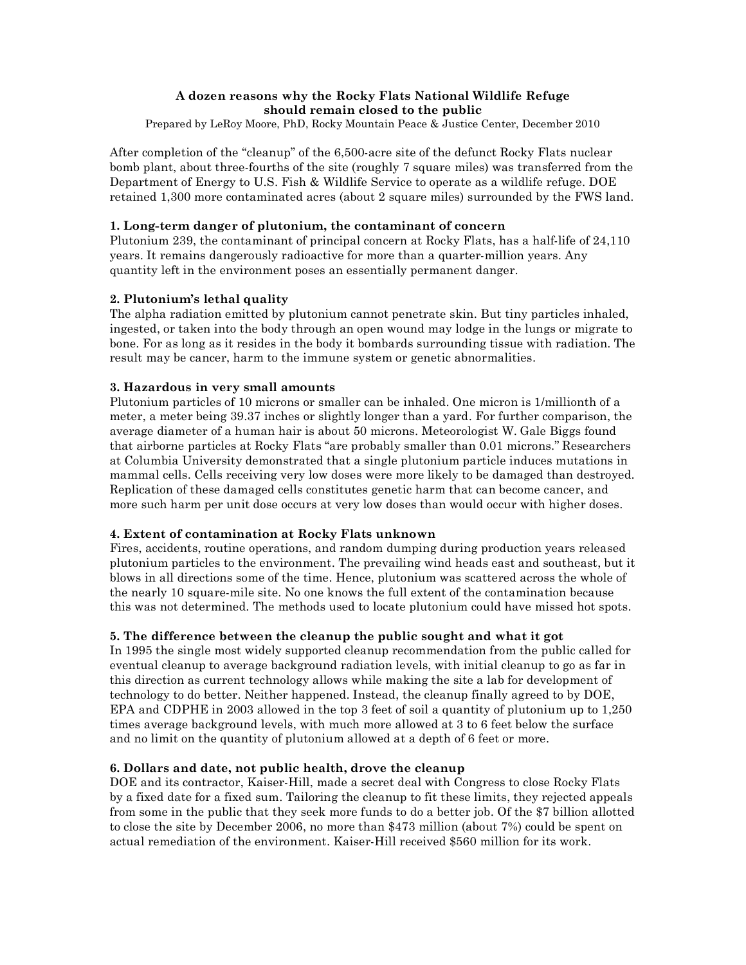# **A dozen reasons why the Rocky Flats National Wildlife Refuge should remain closed to the public**

Prepared by LeRoy Moore, PhD, Rocky Mountain Peace & Justice Center, December 2010

After completion of the "cleanup" of the 6,500-acre site of the defunct Rocky Flats nuclear bomb plant, about three-fourths of the site (roughly 7 square miles) was transferred from the Department of Energy to U.S. Fish & Wildlife Service to operate as a wildlife refuge. DOE retained 1,300 more contaminated acres (about 2 square miles) surrounded by the FWS land.

#### **1. Long-term danger of plutonium, the contaminant of concern**

Plutonium 239, the contaminant of principal concern at Rocky Flats, has a half-life of 24,110 years. It remains dangerously radioactive for more than a quarter-million years. Any quantity left in the environment poses an essentially permanent danger.

# **2. Plutonium's lethal quality**

The alpha radiation emitted by plutonium cannot penetrate skin. But tiny particles inhaled, ingested, or taken into the body through an open wound may lodge in the lungs or migrate to bone. For as long as it resides in the body it bombards surrounding tissue with radiation. The result may be cancer, harm to the immune system or genetic abnormalities.

#### **3. Hazardous in very small amounts**

Plutonium particles of 10 microns or smaller can be inhaled. One micron is 1/millionth of a meter, a meter being 39.37 inches or slightly longer than a yard. For further comparison, the average diameter of a human hair is about 50 microns. Meteorologist W. Gale Biggs found that airborne particles at Rocky Flats "are probably smaller than 0.01 microns." Researchers at Columbia University demonstrated that a single plutonium particle induces mutations in mammal cells. Cells receiving very low doses were more likely to be damaged than destroyed. Replication of these damaged cells constitutes genetic harm that can become cancer, and more such harm per unit dose occurs at very low doses than would occur with higher doses.

# **4. Extent of contamination at Rocky Flats unknown**

Fires, accidents, routine operations, and random dumping during production years released plutonium particles to the environment. The prevailing wind heads east and southeast, but it blows in all directions some of the time. Hence, plutonium was scattered across the whole of the nearly 10 square-mile site. No one knows the full extent of the contamination because this was not determined. The methods used to locate plutonium could have missed hot spots.

# **5. The difference between the cleanup the public sought and what it got**

In 1995 the single most widely supported cleanup recommendation from the public called for eventual cleanup to average background radiation levels, with initial cleanup to go as far in this direction as current technology allows while making the site a lab for development of technology to do better. Neither happened. Instead, the cleanup finally agreed to by DOE, EPA and CDPHE in 2003 allowed in the top 3 feet of soil a quantity of plutonium up to 1,250 times average background levels, with much more allowed at 3 to 6 feet below the surface and no limit on the quantity of plutonium allowed at a depth of 6 feet or more.

# **6. Dollars and date, not public health, drove the cleanup**

DOE and its contractor, Kaiser-Hill, made a secret deal with Congress to close Rocky Flats by a fixed date for a fixed sum. Tailoring the cleanup to fit these limits, they rejected appeals from some in the public that they seek more funds to do a better job. Of the \$7 billion allotted to close the site by December 2006, no more than \$473 million (about 7%) could be spent on actual remediation of the environment. Kaiser-Hill received \$560 million for its work.